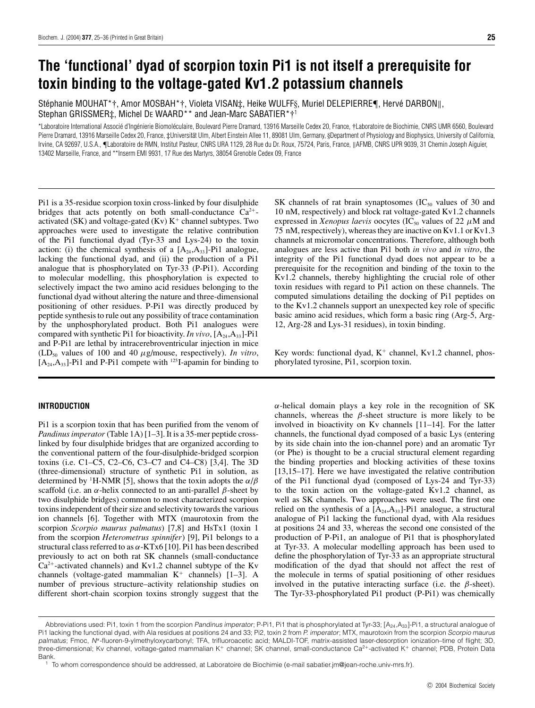# **The 'functional' dyad of scorpion toxin Pi1 is not itself a prerequisite for toxin binding to the voltage-gated Kv1.2 potassium channels**

Stéphanie MOUHAT\* †, Amor MOSBAH\* †, Violeta VISAN‡, Heike WULFF§, Muriel DELEPIERRE¶, Hervé DARBON ||, Stephan GRISSMER‡, Michel DE WAARD<sup>\*\*</sup> and Jean-Marc SABATIER<sup>\*</sup>†<sup>1</sup>

\*Laboratoire International Associé d'Ingénierie Biomoléculaire, Boulevard Pierre Dramard, 13916 Marseille Cedex 20, France, †Laboratoire de Biochimie, CNRS UMR 6560, Boulevard Pierre Dramard, 13916 Marseille Cedex 20, France, ‡Universität Ulm, Albert Einstein Allee 11, 89081 Ulm, Germany, §Department of Physiology and Biophysics, University of California, Irvine, CA 92697, U.S.A., ¶Laboratoire de RMN, Institut Pasteur, CNRS URA 1129, 28 Rue du Dr. Roux, 75724, Paris, France, ||AFMB, CNRS UPR 9039, 31 Chemin Joseph Aiguier, 13402 Marseille, France, and \*\*Inserm EMI 9931, 17 Rue des Martyrs, 38054 Grenoble Cedex 09, France

Pi1 is a 35-residue scorpion toxin cross-linked by four disulphide bridges that acts potently on both small-conductance  $Ca^{2+}$ activated (SK) and voltage-gated (Kv)  $K^+$  channel subtypes. Two approaches were used to investigate the relative contribution of the Pi1 functional dyad (Tyr-33 and Lys-24) to the toxin action: (i) the chemical synthesis of a  $[A_{24},A_{33}]$ -Pi1 analogue, lacking the functional dyad, and (ii) the production of a Pi1 analogue that is phosphorylated on Tyr-33 (P-Pi1). According to molecular modelling, this phosphorylation is expected to selectively impact the two amino acid residues belonging to the functional dyad without altering the nature and three-dimensional positioning of other residues. P-Pi1 was directly produced by peptide synthesis to rule out any possibility of trace contamination by the unphosphorylated product. Both Pi1 analogues were compared with synthetic Pi1 for bioactivity. *In vivo*,  $[A_{24},A_{33}]$ -Pi1 and P-Pi1 are lethal by intracerebroventricular injection in mice  $(LD<sub>50</sub>$  values of 100 and 40  $\mu$ g/mouse, respectively). *In vitro*,  $[A_{24},A_{33}]$ -Pi1 and P-Pi1 compete with <sup>125</sup>I-apamin for binding to

#### **INTRODUCTION**

Pi1 is a scorpion toxin that has been purified from the venom of *Pandinus imperator* (Table 1A) [1–3]. It is a 35-mer peptide crosslinked by four disulphide bridges that are organized according to the conventional pattern of the four-disulphide-bridged scorpion toxins (i.e. C1–C5, C2–C6, C3–C7 and C4–C8) [3,4]. The 3D (three-dimensional) structure of synthetic Pi1 in solution, as determined by <sup>1</sup> H-NMR [5], shows that the toxin adopts the *α*/*β* scaffold (i.e. an  $\alpha$ -helix connected to an anti-parallel  $\beta$ -sheet by two disulphide bridges) common to most characterized scorpion toxins independent of their size and selectivity towards the various ion channels [6]. Together with MTX (maurotoxin from the scorpion *Scorpio maurus palmatus*) [7,8] and HsTx1 (toxin 1 from the scorpion *Heterometrus spinnifer*) [9], Pi1 belongs to a structural class referred to as *α*-KTx6 [10]. Pi1 has been described previously to act on both rat SK channels (small-conductance  $Ca<sup>2+</sup>$ -activated channels) and Kv1.2 channel subtype of the Kv channels (voltage-gated mammalian  $K^+$  channels) [1–3]. A number of previous structure–activity relationship studies on different short-chain scorpion toxins strongly suggest that the SK channels of rat brain synaptosomes  $(IC_{50}$  values of 30 and 10 nM, respectively) and block rat voltage-gated Kv1.2 channels expressed in *Xenopus laevis* oocytes (IC<sub>50</sub> values of 22  $\mu$ M and 75 nM, respectively), whereas they are inactive on Kv1.1 or Kv1.3 channels at micromolar concentrations. Therefore, although both analogues are less active than Pi1 both *in vivo* and *in vitro*, the integrity of the Pi1 functional dyad does not appear to be a prerequisite for the recognition and binding of the toxin to the Kv1.2 channels, thereby highlighting the crucial role of other toxin residues with regard to Pi1 action on these channels. The computed simulations detailing the docking of Pi1 peptides on to the Kv1.2 channels support an unexpected key role of specific basic amino acid residues, which form a basic ring (Arg-5, Arg-12, Arg-28 and Lys-31 residues), in toxin binding.

Key words: functional dyad,  $K^+$  channel, Kv1.2 channel, phosphorylated tyrosine, Pi1, scorpion toxin.

*α*-helical domain plays a key role in the recognition of SK channels, whereas the *β*-sheet structure is more likely to be involved in bioactivity on Kv channels [11–14]. For the latter channels, the functional dyad composed of a basic Lys (entering by its side chain into the ion-channel pore) and an aromatic Tyr (or Phe) is thought to be a crucial structural element regarding the binding properties and blocking activities of these toxins [13,15–17]. Here we have investigated the relative contribution of the Pi1 functional dyad (composed of Lys-24 and Tyr-33) to the toxin action on the voltage-gated Kv1.2 channel, as well as SK channels. Two approaches were used. The first one relied on the synthesis of a  $[A_{24},A_{33}]$ -Pi1 analogue, a structural analogue of Pi1 lacking the functional dyad, with Ala residues at positions 24 and 33, whereas the second one consisted of the production of P-Pi1, an analogue of Pi1 that is phosphorylated at Tyr-33. A molecular modelling approach has been used to define the phosphorylation of Tyr-33 as an appropriate structural modification of the dyad that should not affect the rest of the molecule in terms of spatial positioning of other residues involved in the putative interacting surface (i.e. the  $\beta$ -sheet). The Tyr-33-phosphorylated Pi1 product (P-Pi1) was chemically

Abbreviations used: Pi1, toxin 1 from the scorpion Pandinus imperator; P-Pi1, Pi1 that is phosphorylated at Tyr-33; [A<sub>24</sub>,A<sub>33</sub>]-Pi1, a structural analogue of Pi1 lacking the functional dyad, with Ala residues at positions 24 and 33; Pi2, toxin 2 from P. imperator; MTX, maurotoxin from the scorpion Scorpio maurus palmatus; Fmoc, <sup>N</sup>*<sup>α</sup>*-fluoren-9-ylmethyloxycarbonyl; TFA, trifluoroacetic acid; MALDI-TOF, matrix-assisted laser-desorption ionization–time of flight; 3D, three-dimensional; Kv channel, voltage-gated mammalian K<sup>+</sup> channel; SK channel, small-conductance Ca2+-activated K<sup>+</sup> channel; PDB, Protein Data Bank.

To whom correspondence should be addressed, at Laboratoire de Biochimie (e-mail sabatier.jm@jean-roche.univ-mrs.fr).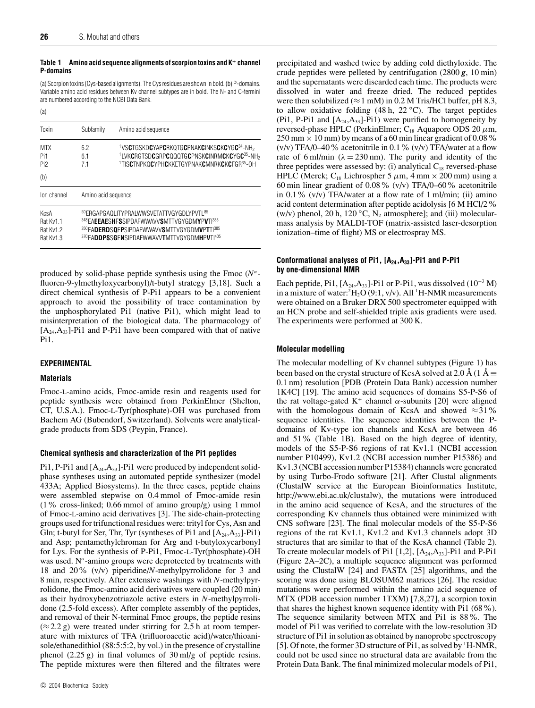$(a)$ 

#### **Table 1 Amino acid sequence alignments of scorpion toxins and K<sup>+</sup> channel P-domains**

(a) Scorpion toxins (Cys-based alignments). The Cys residues are shown in bold. (b) P-domains. Variable amino acid residues between Kv channel subtypes are in bold. The N- and C-termini are numbered according to the NCBI Data Bank.

| Toxin                                       | Subfamily           | Amino acid sequence                                                                                                                                                                                                       |  |  |  |  |
|---------------------------------------------|---------------------|---------------------------------------------------------------------------------------------------------------------------------------------------------------------------------------------------------------------------|--|--|--|--|
| <b>MTX</b><br>Pi1<br>Pi <sub>2</sub><br>(b) | 6.2<br>61<br>71     | <sup>1</sup> VSCTGSKDCYAPCRKQTGCPNAKCINKSCKCYGC <sup>34</sup> -NH <sub>2</sub><br>1LVKCRGTSDCGRPCQQQTGCPNSKCINRMCKCYGC35-NH <sub>2</sub><br><sup>1</sup> TISCTNPKOCYPHCKKETGYPNAKCMNRKCKCFGR <sup>35</sup> -OH            |  |  |  |  |
| Ion channel                                 | Amino acid sequence |                                                                                                                                                                                                                           |  |  |  |  |
| KcsA<br>Rat Kv1.1<br>Rat Kv1.2<br>Rat Kv1.3 |                     | 50 ERGAPGAOLITYPRALWWSVETATTVGYGDLYPVTL <sup>85</sup><br>348 EAEEAESHESSIPDAFWWAVVSMTTVGYGDMYPVTI383<br>350 EADERDSQFPSIPDAFWWAVVSMTTVGYGDMVPTTI <sup>385</sup><br>370EADDPSSGFNSIPDAFWWAVVTMTTVGYGDMHPVTI <sup>405</sup> |  |  |  |  |

produced by solid-phase peptide synthesis using the Fmoc (*Nα*fluoren-9-ylmethyloxycarbonyl)/t-butyl strategy [3,18]. Such a direct chemical synthesis of P-Pi1 appears to be a convenient approach to avoid the possibility of trace contamination by the unphosphorylated Pi1 (native Pi1), which might lead to misinterpretation of the biological data. The pharmacology of  $[A_{24},A_{33}]$ -Pi1 and P-Pi1 have been compared with that of native Pi1.

#### **EXPERIMENTAL**

#### **Materials**

Fmoc-L-amino acids, Fmoc-amide resin and reagents used for peptide synthesis were obtained from PerkinElmer (Shelton, CT, U.S.A.). Fmoc-L-Tyr(phosphate)-OH was purchased from Bachem AG (Bubendorf, Switzerland). Solvents were analyticalgrade products from SDS (Peypin, France).

# **Chemical synthesis and characterization of the Pi1 peptides**

Pi1, P-Pi1 and  $[A_{24},A_{33}]$ -Pi1 were produced by independent solidphase syntheses using an automated peptide synthesizer (model 433A; Applied Biosystems). In the three cases, peptide chains were assembled stepwise on 0.4 mmol of Fmoc-amide resin  $(1\%$  cross-linked; 0.66 mmol of amino group/g) using 1 mmol of Fmoc-L-amino acid derivatives [3]. The side-chain-protecting groups used for trifunctional residues were: trityl for Cys, Asn and Gln; t-butyl for Ser, Thr, Tyr (syntheses of Pi1 and  $[A_{24},A_{33}]$ -Pi1) and Asp; pentamethylchroman for Arg and t-butyloxycarbonyl for Lys. For the synthesis of P-Pi1, Fmoc-L-Tyr(phosphate)-OH was used. N*<sup>α</sup>*-amino groups were deprotected by treatments with 18 and 20% (v/v) piperidine/*N*-methylpyrrolidone for 3 and 8 min, respectively. After extensive washings with *N*-methylpyrrolidone, the Fmoc-amino acid derivatives were coupled (20 min) as their hydroxybenzotriazole active esters in *N*-methylpyrrolidone (2.5-fold excess). After complete assembly of the peptides, and removal of their N-terminal Fmoc groups, the peptide resins  $(\approx 2.2 \text{ g})$  were treated under stirring for 2.5 h at room temperature with mixtures of TFA (trifluoroacetic acid)/water/thioanisole/ethanedithiol (88:5:5:2, by vol.) in the presence of crystalline phenol (2.25 g) in final volumes of 30 ml/g of peptide resins. The peptide mixtures were then filtered and the filtrates were precipitated and washed twice by adding cold diethyloxide. The crude peptides were pelleted by centrifugation (2800 *g*, 10 min) and the supernatants were discarded each time. The products were dissolved in water and freeze dried. The reduced peptides were then solubilized ( $\approx$  1 mM) in 0.2 M Tris/HCl buffer, pH 8.3, to allow oxidative folding (48 h, 22 *◦*C). The target peptides (Pi1, P-Pi1 and  $[A_{24},A_{33}]$ -Pi1) were purified to homogeneity by reversed-phase HPLC (PerkinElmer; C18 Aquapore ODS 20 *µ*m,  $250 \text{ mm} \times 10 \text{ mm}$ ) by means of a 60 min linear gradient of 0.08%  $(v/v)$  TFA/0–40% acetonitrile in 0.1%  $(v/v)$  TFA/water at a flow rate of 6 ml/min  $(\lambda = 230 \text{ nm})$ . The purity and identity of the three peptides were assessed by: (i) analytical  $C_{18}$  reversed-phase HPLC (Merck; C<sub>18</sub> Lichrospher 5  $\mu$ m, 4 mm  $\times$  200 mm) using a 60 min linear gradient of 0.08% (v/v) TFA/0–60% acetonitrile in 0.1% (v/v) TFA/water at a flow rate of 1 ml/min; (ii) amino acid content determination after peptide acidolysis [6 M HCl/2% (w/v) phenol, 20 h, 120  $\rm{°C}$ , N<sub>2</sub> atmosphere]; and (iii) molecularmass analysis by MALDI-TOF (matrix-assisted laser-desorption ionization–time of flight) MS or electrospray MS.

## **Conformational analyses of Pi1, [A24,A33]-Pi1 and P-Pi1 by one-dimensional NMR**

Each peptide, Pi1,  $[A_{24},A_{33}]$ -Pi1 or P-Pi1, was dissolved (10<sup>-3</sup> M) in a mixture of water: ${}^{2}H_{2}O(9:1, v/v)$ . All  ${}^{1}H$ -NMR measurements were obtained on a Bruker DRX 500 spectrometer equipped with an HCN probe and self-shielded triple axis gradients were used. The experiments were performed at 300 K.

## **Molecular modelling**

The molecular modelling of Kv channel subtypes (Figure 1) has been based on the crystal structure of KcsA solved at 2.0 Å (1 Å  $\equiv$ 0.1 nm) resolution [PDB (Protein Data Bank) accession number 1K4C] [19]. The amino acid sequences of domains S5-P-S6 of the rat voltage-gated K<sup>+</sup> channel  $α$ -subunits [20] were aligned with the homologous domain of KcsA and showed  $\approx$  31% sequence identities. The sequence identities between the Pdomains of Kv-type ion channels and KcsA are between 46 and 51% (Table 1B). Based on the high degree of identity, models of the S5-P-S6 regions of rat Kv1.1 (NCBI accession number P10499), Kv1.2 (NCBI accession number P15386) and Kv1.3 (NCBI accession number P15384) channels were generated by using Turbo-Frodo software [21]. After Clustal alignments (ClustalW service at the European Bioinformatics Institute, http://www.ebi.ac.uk/clustalw), the mutations were introduced in the amino acid sequence of KcsA, and the structures of the corresponding Kv channels thus obtained were minimized with CNS software [23]. The final molecular models of the S5-P-S6 regions of the rat Kv1.1, Kv1.2 and Kv1.3 channels adopt 3D structures that are similar to that of the KcsA channel (Table 2). To create molecular models of Pi1  $[1,2]$ ,  $[A_{24},A_{33}]$ -Pi1 and P-Pi1 (Figure 2A–2C), a multiple sequence alignment was performed using the ClustalW [24] and FASTA [25] algorithms, and the scoring was done using BLOSUM62 matrices [26]. The residue mutations were performed within the amino acid sequence of MTX (PDB accession number 1TXM) [7,8,27], a scorpion toxin that shares the highest known sequence identity with Pi1 (68%). The sequence similarity between MTX and Pi1 is 88%. The model of Pi1 was verified to correlate with the low-resolution 3D structure of Pi1 in solution as obtained by nanoprobe spectroscopy [5]. Of note, the former 3D structure of Pi1, as solved by <sup>1</sup>H-NMR, could not be used since no structural data are available from the Protein Data Bank. The final minimized molecular models of Pi1,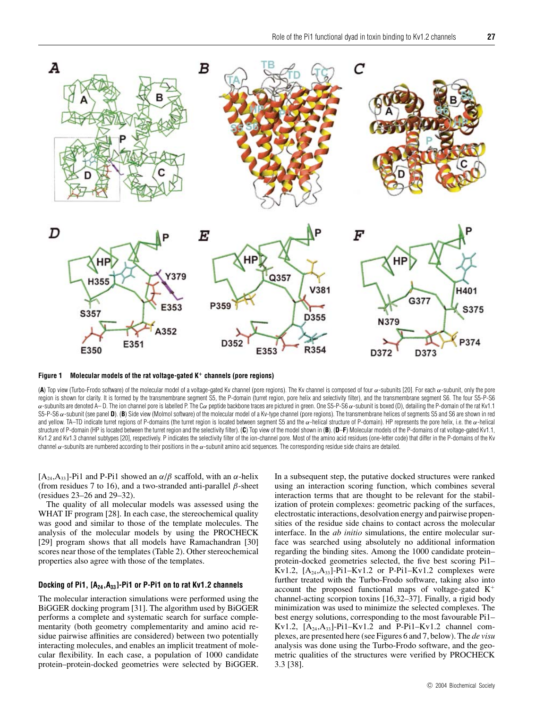

**Figure 1 Molecular models of the rat voltage-gated K<sup>+</sup> channels (pore regions)**

(A) Top view (Turbo-Frodo software) of the molecular model of a voltage-gated Kv channel (pore regions). The Kv channel is composed of four α-subunits [20]. For each α-subunit, only the pore region is shown for clarity. It is formed by the transmembrane segment S5, the P-domain (turret region, pore helix and selectivity filter), and the transmembrane segment S6. The four S5-P-S6 α-subunits are denoted A– D. The ion channel pore is labelled P. The Cα peptide backbone traces are pictured in green. One S5-P-S6 α-subunit is boxed (D), detailing the P-domain of the rat Kv1.1 S5-P-S6  $α$ -subunit (see panel **D**). (B) Side view (Molmol software) of the molecular model of a Kv-type channel (pore regions). The transmembrane helices of segments S5 and S6 are shown in red and yellow. TA–TD indicate turret regions of P-domains (the turret region is located between segment S5 and the  $\alpha$ -helical structure of P-domain). HP represents the pore helix, i.e. the  $\alpha$ -helical structure of P-domain (HP is located between the turret region and the selectivity filter). (C) Top view of the model shown in (B). (D-F) Molecular models of the P-domains of rat voltage-gated Kv1.1, Kv1.2 and Kv1.3 channel subtypes [20], respectively. P indicates the selectivity filter of the ion-channel pore. Most of the amino acid residues (one-letter code) that differ in the P-domains of the Kv channel  $\alpha$ -subunits are numbered according to their positions in the  $\alpha$ -subunit amino acid sequences. The corresponding residue side chains are detailed.

 $[A_{24},A_{33}]$ -Pi1 and P-Pi1 showed an  $\alpha/\beta$  scaffold, with an  $\alpha$ -helix (from residues 7 to 16), and a two-stranded anti-parallel *β*-sheet (residues 23–26 and 29–32).

The quality of all molecular models was assessed using the WHAT IF program [28]. In each case, the stereochemical quality was good and similar to those of the template molecules. The analysis of the molecular models by using the PROCHECK [29] program shows that all models have Ramachandran [30] scores near those of the templates (Table 2). Other stereochemical properties also agree with those of the templates.

#### **Docking of Pi1, [A24,A33]-Pi1 or P-Pi1 on to rat Kv1.2 channels**

The molecular interaction simulations were performed using the BiGGER docking program [31]. The algorithm used by BiGGER performs a complete and systematic search for surface complementarity (both geometry complementarity and amino acid residue pairwise affinities are considered) between two potentially interacting molecules, and enables an implicit treatment of molecular flexibility. In each case, a population of 1000 candidate protein–protein-docked geometries were selected by BiGGER. In a subsequent step, the putative docked structures were ranked using an interaction scoring function, which combines several interaction terms that are thought to be relevant for the stabilization of protein complexes: geometric packing of the surfaces, electrostatic interactions, desolvation energy and pairwise propensities of the residue side chains to contact across the molecular interface. In the *ab initio* simulations, the entire molecular surface was searched using absolutely no additional information regarding the binding sites. Among the 1000 candidate protein– protein-docked geometries selected, the five best scoring Pi1– Kv1.2,  $[A_{24},A_{33}]$ -Pi1–Kv1.2 or P-Pi1–Kv1.2 complexes were further treated with the Turbo-Frodo software, taking also into account the proposed functional maps of voltage-gated  $K^+$ channel-acting scorpion toxins [16,32–37]. Finally, a rigid body minimization was used to minimize the selected complexes. The best energy solutions, corresponding to the most favourable Pi1– Kv1.2,  $[A_{24},A_{33}]$ -Pi1–Kv1.2 and P-Pi1–Kv1.2 channel complexes, are presented here (see Figures 6 and 7, below). The *de visu* analysis was done using the Turbo-Frodo software, and the geometric qualities of the structures were verified by PROCHECK 3.3 [38].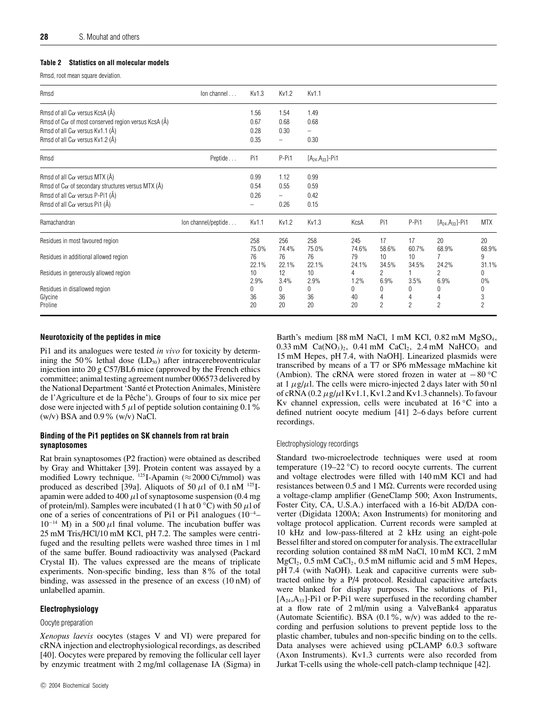## **Table 2 Statistics on all molecular models**

Rmsd, root mean square deviation.

| Rmsd                                                                                                                                                                                                     | lon channel         | Kv1.3                | Kv1.2                     | Kv1.1                        |                      |                    |                          |                         |                          |
|----------------------------------------------------------------------------------------------------------------------------------------------------------------------------------------------------------|---------------------|----------------------|---------------------------|------------------------------|----------------------|--------------------|--------------------------|-------------------------|--------------------------|
| Rmsd of all $C\alpha$ versus KcsA (Å)<br>Rmsd of $C_{\alpha}$ of most conserved region versus KcsA ( $\check{A}$ )<br>Rmsd of all C $\alpha$ versus Kv1.1 (Å)                                            |                     | 1.56<br>0.67<br>0.28 | 1.54<br>0.68<br>0.30      | 1.49<br>0.68<br>-            |                      |                    |                          |                         |                          |
| Rmsd of all $C\alpha$ versus Kv1.2 (A)                                                                                                                                                                   |                     | 0.35                 | -                         | 0.30                         |                      |                    |                          |                         |                          |
| Peptide<br>Rmsd                                                                                                                                                                                          |                     | Pi1                  | P-Pi1                     | $[A_{24},A_{33}]$ -Pi1       |                      |                    |                          |                         |                          |
| Rmsd of all $C_{\alpha}$ versus MTX ( $\check{A}$ )<br>Rmsd of C $\alpha$ of secondary structures versus MTX ( $\AA$ )<br>Rmsd of all $C\alpha$ versus P-Pi1 (Å)<br>Rmsd of all $C\alpha$ versus Pi1 (Å) |                     | 0.99<br>0.54<br>0.26 | 1.12<br>0.55<br>-<br>0.26 | 0.99<br>0.59<br>0.42<br>0.15 |                      |                    |                          |                         |                          |
| Ramachandran                                                                                                                                                                                             | lon channel/peptide | Kv1.1                | Kv1.2                     | Kv1.3                        | KcsA                 | Pi1                | P-Pi1                    | $[A_{24},A_{33}]$ -Pi1  | <b>MTX</b>               |
| Residues in most favoured region                                                                                                                                                                         |                     | 258<br>75.0%         | 256<br>74.4%              | 258<br>75.0%                 | 245<br>74.6%         | 17<br>58.6%        | 17<br>60.7%              | 20<br>68.9%             | 20<br>68.9%              |
| Residues in additional allowed region                                                                                                                                                                    |                     | 76<br>22.1%          | 76<br>22.1%               | 76<br>22.1%                  | 79<br>24.1%          | 10<br>34.5%        | 10<br>34.5%              | $\overline{7}$<br>24.2% | 9<br>31.1%               |
| Residues in generously allowed region                                                                                                                                                                    |                     | 10<br>2.9%           | 12<br>3.4%                | 10<br>2.9%                   | 4<br>1.2%            | 2<br>6.9%          | 3.5%                     | $\overline{2}$<br>6.9%  | 0<br>0%                  |
| Residues in disallowed region<br>Glycine<br>Proline                                                                                                                                                      |                     | 0<br>36<br>20        | 0<br>36<br>20             | 0<br>36<br>20                | $\Omega$<br>40<br>20 | $\Omega$<br>4<br>2 | 0<br>4<br>$\overline{c}$ | O<br>$\overline{2}$     | 0<br>3<br>$\overline{c}$ |

# **Neurotoxicity of the peptides in mice**

Pi1 and its analogues were tested *in vivo* for toxicity by determining the 50% lethal dose  $(LD<sub>50</sub>)$  after intracerebroventricular injection into 20 g C57/BL6 mice (approved by the French ethics committee; animal testing agreement number 006573 delivered by the National Department 'Santé et Protection Animales, Ministère de l'Agriculture et de la Pêche'). Groups of four to six mice per dose were injected with 5  $\mu$ l of peptide solution containing 0.1%  $(w/v)$  BSA and 0.9%  $(w/v)$  NaCl.

## **Binding of the Pi1 peptides on SK channels from rat brain synaptosomes**

Rat brain synaptosomes (P2 fraction) were obtained as described by Gray and Whittaker [39]. Protein content was assayed by a modified Lowry technique.  $^{125}$ I-Apamin (≈2000 Ci/mmol) was produced as described [39a]. Aliquots of 50  $\mu$ l of 0.1 nM <sup>125</sup>Iapamin were added to 400  $\mu$ l of synaptosome suspension (0.4 mg of protein/ml). Samples were incubated (1 h at  $0 °C$ ) with 50  $\mu$ l of one of a series of concentrations of Pi1 or Pi1 analogues (10−<sup>4</sup> –  $10^{-14}$  M) in a 500  $\mu$ l final volume. The incubation buffer was 25 mM Tris/HCl/10 mM KCl, pH 7.2. The samples were centrifuged and the resulting pellets were washed three times in 1 ml of the same buffer. Bound radioactivity was analysed (Packard Crystal II). The values expressed are the means of triplicate experiments. Non-specific binding, less than 8% of the total binding, was assessed in the presence of an excess (10 nM) of unlabelled apamin.

# **Electrophysiology**

#### Oocyte preparation

*Xenopus laevis* oocytes (stages V and VI) were prepared for cRNA injection and electrophysiological recordings, as described [40]. Oocytes were prepared by removing the follicular cell layer by enzymic treatment with 2 mg/ml collagenase IA (Sigma) in Barth's medium [88 mM NaCl, 1 mM KCl, 0.82 mM MgSO<sub>4</sub>,  $0.33 \text{ mM } \text{Ca}(\text{NO}_3)_2$ ,  $0.41 \text{ mM } \text{CaCl}_2$ ,  $2.4 \text{ mM } \text{NaHCO}_3$  and 15 mM Hepes, pH 7.4, with NaOH]. Linearized plasmids were transcribed by means of a T7 or SP6 mMessage mMachine kit (Ambion). The cRNA were stored frozen in water at −80 *◦*C at  $1 \mu g/\mu$ . The cells were micro-injected 2 days later with 50 nl of cRNA  $(0.2 \mu g/\mu$ l Kv1.1, Kv1.2 and Kv1.3 channels). To favour Kv channel expression, cells were incubated at 16 *◦*C into a defined nutrient oocyte medium [41] 2–6 days before current recordings.

#### Electrophysiology recordings

Standard two-microelectrode techniques were used at room temperature (19–22 *◦*C) to record oocyte currents. The current and voltage electrodes were filled with 140 mM KCl and had resistances between  $0.5$  and  $1 \text{ M}\Omega$ . Currents were recorded using a voltage-clamp amplifier (GeneClamp 500; Axon Instruments, Foster City, CA, U.S.A.) interfaced with a 16-bit AD/DA converter (Digidata 1200A; Axon Instruments) for monitoring and voltage protocol application. Current records were sampled at 10 kHz and low-pass-filtered at 2 kHz using an eight-pole Bessel filter and stored on computer for analysis. The extracellular recording solution contained 88 mM NaCl, 10 mM KCl, 2 mM  $MgCl<sub>2</sub>$ , 0.5 mM CaCl<sub>2</sub>, 0.5 mM niflumic acid and 5 mM Hepes, pH 7.4 (with NaOH). Leak and capacitive currents were subtracted online by a P/4 protocol. Residual capacitive artefacts were blanked for display purposes. The solutions of Pi1,  $[A<sub>24</sub>, A<sub>33</sub>]$ -Pi1 or P-Pi1 were superfused in the recording chamber at a flow rate of 2 ml/min using a ValveBank4 apparatus (Automate Scientific). BSA  $(0.1\%, w/v)$  was added to the recording and perfusion solutions to prevent peptide loss to the plastic chamber, tubules and non-specific binding on to the cells. Data analyses were achieved using pCLAMP 6.0.3 software (Axon Instruments). Kv1.3 currents were also recorded from Jurkat T-cells using the whole-cell patch-clamp technique [42].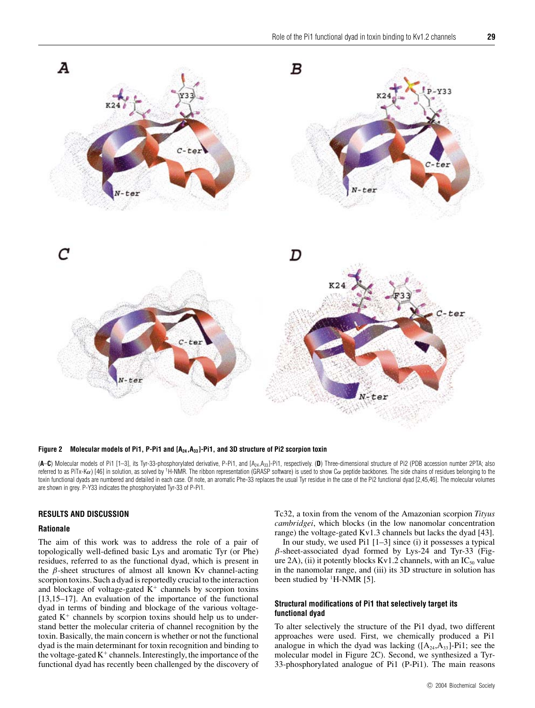

Figure 2 Molecular models of Pi1, P-Pi1 and [A<sub>24</sub>,A<sub>33</sub>]-Pi1, and 3D structure of Pi2 scorpion toxin

(**A**–**C**) Molecular models of Pi1 [1–3], its Tyr-33-phosphorylated derivative, P-Pi1, and [A24,A33]-Pi1, respectively. (**D**) Three-dimensional structure of Pi2 (PDB accession number 2PTA; also referred to as PiTx-K $\alpha$ ) [46] in solution, as solved by <sup>1</sup>H-NMR. The ribbon representation (GRASP software) is used to show C $\alpha$  peptide backbones. The side chains of residues belonging to the toxin functional dyads are numbered and detailed in each case. Of note, an aromatic Phe-33 replaces the usual Tyr residue in the case of the Pi2 functional dyad [2,45,46]. The molecular volumes are shown in grey. P-Y33 indicates the phosphorylated Tyr-33 of P-Pi1.

#### **RESULTS AND DISCUSSION**

#### **Rationale**

The aim of this work was to address the role of a pair of topologically well-defined basic Lys and aromatic Tyr (or Phe) residues, referred to as the functional dyad, which is present in the *β*-sheet structures of almost all known Kv channel-acting scorpion toxins. Such a dyad is reportedly crucial to the interaction and blockage of voltage-gated  $K^+$  channels by scorpion toxins [13,15–17]. An evaluation of the importance of the functional dyad in terms of binding and blockage of the various voltagegated  $K^+$  channels by scorpion toxins should help us to understand better the molecular criteria of channel recognition by the toxin. Basically, the main concern is whether or not the functional dyad is the main determinant for toxin recognition and binding to the voltage-gated  $K^+$  channels. Interestingly, the importance of the functional dyad has recently been challenged by the discovery of Tc32, a toxin from the venom of the Amazonian scorpion *Tityus cambridgei*, which blocks (in the low nanomolar concentration range) the voltage-gated Kv1.3 channels but lacks the dyad [43].

In our study, we used Pi1 [1–3] since (i) it possesses a typical *β*-sheet-associated dyad formed by Lys-24 and Tyr-33 (Figure 2A), (ii) it potently blocks Kv1.2 channels, with an  $IC_{50}$  value in the nanomolar range, and (iii) its 3D structure in solution has been studied by <sup>1</sup>H-NMR [5].

#### **Structural modifications of Pi1 that selectively target its functional dyad**

To alter selectively the structure of the Pi1 dyad, two different approaches were used. First, we chemically produced a Pi1 analogue in which the dyad was lacking  $([A_{24},A_{33}]-P_1]$ ; see the molecular model in Figure 2C). Second, we synthesized a Tyr-33-phosphorylated analogue of Pi1 (P-Pi1). The main reasons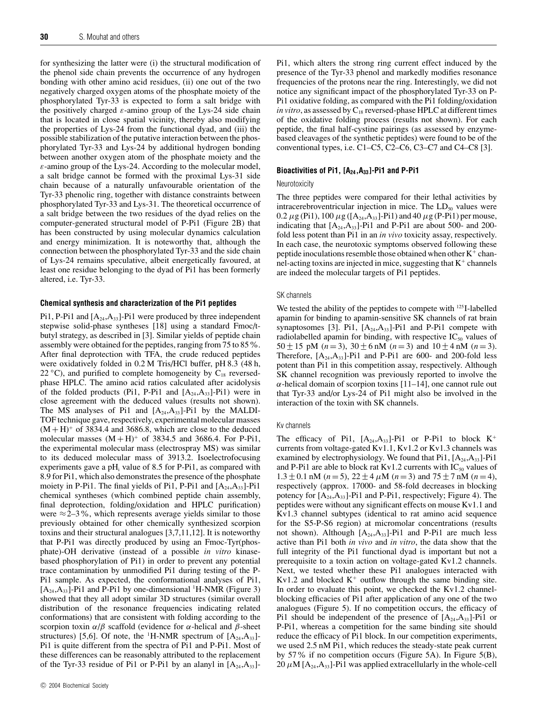for synthesizing the latter were (i) the structural modification of the phenol side chain prevents the occurrence of any hydrogen bonding with other amino acid residues, (ii) one out of the two negatively charged oxygen atoms of the phosphate moiety of the phosphorylated Tyr-33 is expected to form a salt bridge with the positively charged *ε*-amino group of the Lys-24 side chain that is located in close spatial vicinity, thereby also modifying the properties of Lys-24 from the functional dyad, and (iii) the possible stabilization of the putative interaction between the phosphorylated Tyr-33 and Lys-24 by additional hydrogen bonding between another oxygen atom of the phosphate moiety and the *ε*-amino group of the Lys-24. According to the molecular model, a salt bridge cannot be formed with the proximal Lys-31 side chain because of a naturally unfavourable orientation of the Tyr-33 phenolic ring, together with distance constraints between phosphorylated Tyr-33 and Lys-31. The theoretical occurrence of a salt bridge between the two residues of the dyad relies on the computer-generated structural model of P-Pi1 (Figure 2B) that has been constructed by using molecular dynamics calculation and energy minimization. It is noteworthy that, although the connection between the phosphorylated Tyr-33 and the side chain of Lys-24 remains speculative, albeit energetically favoured, at least one residue belonging to the dyad of Pi1 has been formerly altered, i.e. Tyr-33.

#### **Chemical synthesis and characterization of the Pi1 peptides**

Pi1, P-Pi1 and  $[A_{24},A_{33}]$ -Pi1 were produced by three independent stepwise solid-phase syntheses [18] using a standard Fmoc/tbutyl strategy, as described in [3]. Similar yields of peptide chain assembly were obtained for the peptides, ranging from 75 to 85%. After final deprotection with TFA, the crude reduced peptides were oxidatively folded in 0.2 M Tris/HCl buffer, pH 8.3 (48 h, 22  $\rm{°C}$ ), and purified to complete homogeneity by C<sub>18</sub> reversedphase HPLC. The amino acid ratios calculated after acidolysis of the folded products (Pi1, P-Pi1 and  $[A_{24},A_{33}]$ -Pi1) were in close agreement with the deduced values (results not shown). The MS analyses of Pi1 and  $[A_{24},A_{33}]$ -Pi1 by the MALDI-TOF technique gave, respectively, experimental molecular masses  $(M + H)^+$  of 3834.4 and 3686.8, which are close to the deduced molecular masses  $(M + H)^+$  of 3834.5 and 3686.4. For P-Pi1, the experimental molecular mass (electrospray MS) was similar to its deduced molecular mass of 3913.2. Isoelectrofocusing experiments gave a pH<sub>i</sub> value of  $8.5$  for P-Pi1, as compared with 8.9 for Pi1, which also demonstrates the presence of the phosphate moiety in P-Pi1. The final yields of Pi1, P-Pi1 and  $[A_{24},A_{33}]$ -Pi1 chemical syntheses (which combined peptide chain assembly, final deprotection, folding/oxidation and HPLC purification) were  $\approx$  2–3%, which represents average yields similar to those previously obtained for other chemically synthesized scorpion toxins and their structural analogues [3,7,11,12]. It is noteworthy that P-Pi1 was directly produced by using an Fmoc-Tyr(phosphate)-OH derivative (instead of a possible *in vitro* kinasebased phosphorylation of Pi1) in order to prevent any potential trace contamination by unmodified Pi1 during testing of the P-Pi1 sample. As expected, the conformational analyses of Pi1,  $[A<sub>24</sub>, A<sub>33</sub>]$ -Pi1 and P-Pi1 by one-dimensional <sup>1</sup>H-NMR (Figure 3) showed that they all adopt similar 3D structures (similar overall distribution of the resonance frequencies indicating related conformations) that are consistent with folding according to the scorpion toxin *α*/*β* scaffold (evidence for *α*-helical and *β*-sheet structures) [5,6]. Of note, the <sup>1</sup>H-NMR spectrum of  $[A_{24},A_{33}]$ -Pi1 is quite different from the spectra of Pi1 and P-Pi1. Most of these differences can be reasonably attributed to the replacement of the Tyr-33 residue of Pi1 or P-Pi1 by an alanyl in  $[A_{24},A_{33}]$ - Pi1, which alters the strong ring current effect induced by the presence of the Tyr-33 phenol and markedly modifies resonance frequencies of the protons near the ring. Interestingly, we did not notice any significant impact of the phosphorylated Tyr-33 on P-Pi1 oxidative folding, as compared with the Pi1 folding/oxidation *in vitro*, as assessed by  $C_{18}$  reversed-phase HPLC at different times of the oxidative folding process (results not shown). For each peptide, the final half-cystine pairings (as assessed by enzymebased cleavages of the synthetic peptides) were found to be of the conventional types, i.e. C1–C5, C2–C6, C3–C7 and C4–C8 [3].

#### **Bioactivities of Pi1, [A24,A33]-Pi1 and P-Pi1**

#### Neurotoxicity

The three peptides were compared for their lethal activities by intracerebroventricular injection in mice. The  $LD_{50}$  values were  $0.2 \mu$ g (Pi1),  $100 \mu$ g ([A<sub>24</sub>,A<sub>33</sub>]-Pi1) and  $40 \mu$ g (P-Pi1) per mouse, indicating that  $[A_{24},A_{33}]$ -Pi1 and P-Pi1 are about 500- and 200fold less potent than Pi1 in an *in vivo* toxicity assay, respectively. In each case, the neurotoxic symptoms observed following these peptide inoculations resemble those obtained when other  $K^+$  channel-acting toxins are injected in mice, suggesting that  $K^+$  channels are indeed the molecular targets of Pi1 peptides.

#### SK channels

We tested the ability of the peptides to compete with <sup>125</sup>I-labelled apamin for binding to apamin-sensitive SK channels of rat brain synaptosomes [3]. Pi1,  $[A_{24},A_{33}]$ -Pi1 and P-Pi1 compete with radiolabelled apamin for binding, with respective  $IC_{50}$  values of 50 ± 15 pM  $(n=3)$ ,  $30 \pm 6$  nM  $(n=3)$  and  $10 \pm 4$  nM  $(n=3)$ . Therefore,  $[A_{24}, A_{33}]$ -Pi1 and P-Pi1 are 600- and 200-fold less potent than Pi1 in this competition assay, respectively. Although SK channel recognition was previously reported to involve the  $\alpha$ -helical domain of scorpion toxins [11–14], one cannot rule out that Tyr-33 and/or Lys-24 of Pi1 might also be involved in the interaction of the toxin with SK channels.

#### Kv channels

The efficacy of Pi1,  $[A_{24},A_{33}]$ -Pi1 or P-Pi1 to block  $K^+$ currents from voltage-gated Kv1.1, Kv1.2 or Kv1.3 channels was examined by electrophysiology. We found that  $P_{11}$ ,  $[A_{24},A_{33}]$ -Pi1 and P-Pi1 are able to block rat Kv1.2 currents with  $IC_{50}$  values of  $1.3 \pm 0.1$  nM ( $n = 5$ ),  $22 \pm 4$   $\mu$ M ( $n = 3$ ) and  $75 \pm 7$  nM ( $n = 4$ ), respectively (approx. 17000- and 58-fold decreases in blocking potency for  $[A_{24},A_{33}]$ -Pi1 and P-Pi1, respectively; Figure 4). The peptides were without any significant effects on mouse Kv1.1 and Kv1.3 channel subtypes (identical to rat amino acid sequence for the S5-P-S6 region) at micromolar concentrations (results not shown). Although  $[A_{24},A_{33}]$ -Pi1 and P-Pi1 are much less active than Pi1 both *in vivo* and *in vitro*, the data show that the full integrity of the Pi1 functional dyad is important but not a prerequisite to a toxin action on voltage-gated Kv1.2 channels. Next, we tested whether these Pi1 analogues interacted with Kv1.2 and blocked  $K^+$  outflow through the same binding site. In order to evaluate this point, we checked the Kv1.2 channelblocking efficacies of Pi1 after application of any one of the two analogues (Figure 5). If no competition occurs, the efficacy of Pi1 should be independent of the presence of  $[A_{24},A_{33}]$ -Pi1 or P-Pi1, whereas a competition for the same binding site should reduce the efficacy of Pi1 block. In our competition experiments, we used 2.5 nM Pi1, which reduces the steady-state peak current by 57% if no competition occurs (Figure 5A). In Figure 5(B),  $20 \mu M$  [A<sub>24</sub>,A<sub>33</sub>]-Pi1 was applied extracellularly in the whole-cell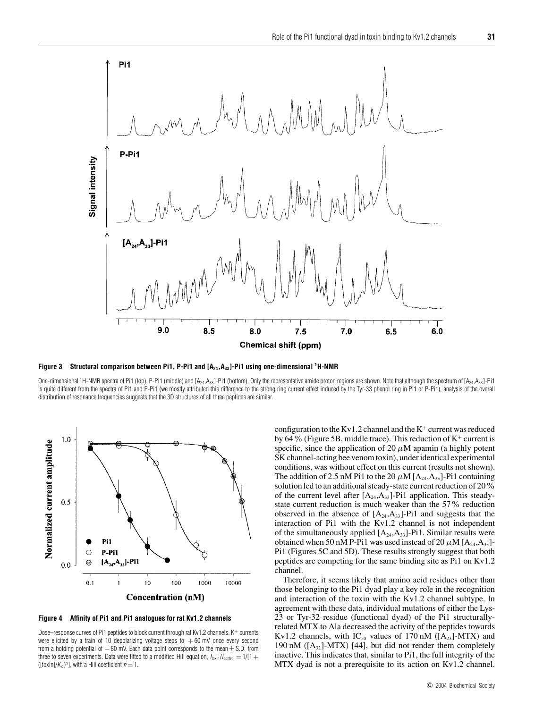

**Figure 3 Structural comparison between Pi1, P-Pi1 and [A24,A33]-Pi1 using one-dimensional 1H-NMR**

One-dimensional <sup>1</sup>H-NMR spectra of Pi1 (top), P-Pi1 (middle) and [A<sub>24</sub>,A<sub>33</sub>]-Pi1 (bottom). Only the representative amide proton regions are shown. Note that although the spectrum of [A<sub>24</sub>,A<sub>33</sub>]-Pi1 is quite different from the spectra of Pi1 and P-Pi1 (we mostly attributed this difference to the strong ring current effect induced by the Tyr-33 phenol ring in Pi1 or P-Pi1), analysis of the overall distribution of resonance frequencies suggests that the 3D structures of all three peptides are similar.



**Figure 4 Affinity of Pi1 and Pi1 analogues for rat Kv1.2 channels**

Dose–response curves of Pi1 peptides to block current through rat Kv1.2 channels. K<sup>+</sup> currents were elicited by a train of 10 depolarizing voltage steps to  $+60$  mV once every second from a holding potential of  $-80$  mV. Each data point corresponds to the mean  $\pm$  S.D. from three to seven experiments. Data were fitted to a modified Hill equation,  $I_{\text{toxint}}/I_{\text{control}} = 1/[1 +$ ([toxin]/ $K_d$ )<sup>n</sup>], with a Hill coefficient  $n = 1$ .

configuration to the Kv1.2 channel and the  $K^+$  current was reduced by 64% (Figure 5B, middle trace). This reduction of  $K^+$  current is specific, since the application of 20  $\mu$ M apamin (a highly potent SK channel-acting bee venom toxin), under identical experimental conditions, was without effect on this current (results not shown). The addition of 2.5 nM Pi1 to the 20  $\mu$ M  $[A_{24},A_{33}]$ -Pi1 containing solution led to an additional steady-state current reduction of 20% of the current level after  $[A_{24},A_{33}]$ -Pi1 application. This steadystate current reduction is much weaker than the 57% reduction observed in the absence of  $[A_{24},A_{33}]$ -Pi1 and suggests that the interaction of Pi1 with the Kv1.2 channel is not independent of the simultaneously applied  $[A_{24},A_{33}]$ -Pi1. Similar results were obtained when 50 nM P-Pi1 was used instead of 20  $\mu$ M [A<sub>24</sub>,A<sub>33</sub>]-Pi1 (Figures 5C and 5D). These results strongly suggest that both peptides are competing for the same binding site as Pi1 on Kv1.2 channel.

Therefore, it seems likely that amino acid residues other than those belonging to the Pi1 dyad play a key role in the recognition and interaction of the toxin with the Kv1.2 channel subtype. In agreement with these data, individual mutations of either the Lys-23 or Tyr-32 residue (functional dyad) of the Pi1 structurallyrelated MTX to Ala decreased the activity of the peptides towards Kv1.2 channels, with  $IC_{50}$  values of 170 nM ([A<sub>23</sub>]-MTX) and 190 nM ( $[A_{32}]$ -MTX) [44], but did not render them completely inactive. This indicates that, similar to Pi1, the full integrity of the MTX dyad is not a prerequisite to its action on Kv1.2 channel.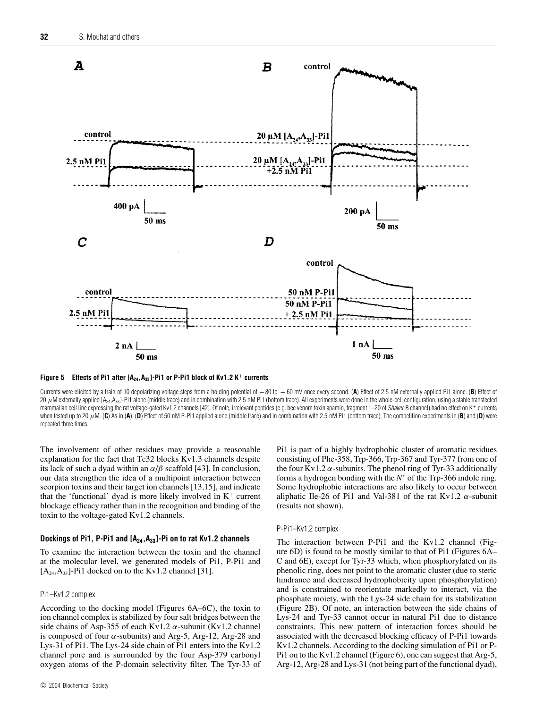



Currents were elicited by a train of 10 depolarizing voltage steps from a holding potential of −80 to + 60 mV once every second. (**A**) Effect of 2.5 nM externally applied Pi1 alone. (**B**) Effect of 20  $\mu$ M externally applied [A<sub>24</sub>,A<sub>33</sub>]-Pi1 alone (middle trace) and in combination with 2.5 nM Pi1 (bottom trace). All experiments were done in the whole-cell configuration, using a stable transfected mammalian cell line expressing the rat voltage-gated Kv1.2 channels [42]. Of note, irrelevant peptides (e.g. bee venom toxin apamin, fragment 1-20 of Shaker B channel) had no effect on K+ currents when tested up to 20  $\mu$ M. (C) As in (A). (D) Effect of 50 nM P-Pi1 applied alone (middle trace) and in combination with 2.5 nM Pi1 (bottom trace). The competition experiments in (B) and (D) were repeated three times.

The involvement of other residues may provide a reasonable explanation for the fact that Tc32 blocks Kv1.3 channels despite its lack of such a dyad within an  $\alpha/\beta$  scaffold [43]. In conclusion, our data strengthen the idea of a multipoint interaction between scorpion toxins and their target ion channels [13,15], and indicate that the 'functional' dyad is more likely involved in  $K^+$  current blockage efficacy rather than in the recognition and binding of the toxin to the voltage-gated Kv1.2 channels.

#### **Dockings of Pi1, P-Pi1 and [A24,A33]-Pi on to rat Kv1.2 channels**

To examine the interaction between the toxin and the channel at the molecular level, we generated models of Pi1, P-Pi1 and  $[A_{24},A_{33}]$ -Pi1 docked on to the Kv1.2 channel [31].

#### Pi1–Kv1.2 complex

According to the docking model (Figures 6A–6C), the toxin to ion channel complex is stabilized by four salt bridges between the side chains of Asp-355 of each Kv1.2 *α*-subunit (Kv1.2 channel is composed of four *α*-subunits) and Arg-5, Arg-12, Arg-28 and Lys-31 of Pi1. The Lys-24 side chain of Pi1 enters into the Kv1.2 channel pore and is surrounded by the four Asp-379 carbonyl oxygen atoms of the P-domain selectivity filter. The Tyr-33 of Pi1 is part of a highly hydrophobic cluster of aromatic residues consisting of Phe-358, Trp-366, Trp-367 and Tyr-377 from one of the four Kv1.2  $\alpha$ -subunits. The phenol ring of Tyr-33 additionally forms a hydrogen bonding with the *N<sup>ε</sup>* of the Trp-366 indole ring. Some hydrophobic interactions are also likely to occur between aliphatic Ile-26 of Pi1 and Val-381 of the rat Kv1.2 *α*-subunit (results not shown).

#### P-Pi1–Kv1.2 complex

The interaction between P-Pi1 and the Kv1.2 channel (Figure 6D) is found to be mostly similar to that of Pi1 (Figures 6A– C and 6E), except for Tyr-33 which, when phosphorylated on its phenolic ring, does not point to the aromatic cluster (due to steric hindrance and decreased hydrophobicity upon phosphorylation) and is constrained to reorientate markedly to interact, via the phosphate moiety, with the Lys-24 side chain for its stabilization (Figure 2B). Of note, an interaction between the side chains of Lys-24 and Tyr-33 cannot occur in natural Pi1 due to distance constraints. This new pattern of interaction forces should be associated with the decreased blocking efficacy of P-Pi1 towards Kv1.2 channels. According to the docking simulation of Pi1 or P-Pi1 on to the Kv1.2 channel (Figure 6), one can suggest that Arg-5, Arg-12, Arg-28 and Lys-31 (not being part of the functional dyad),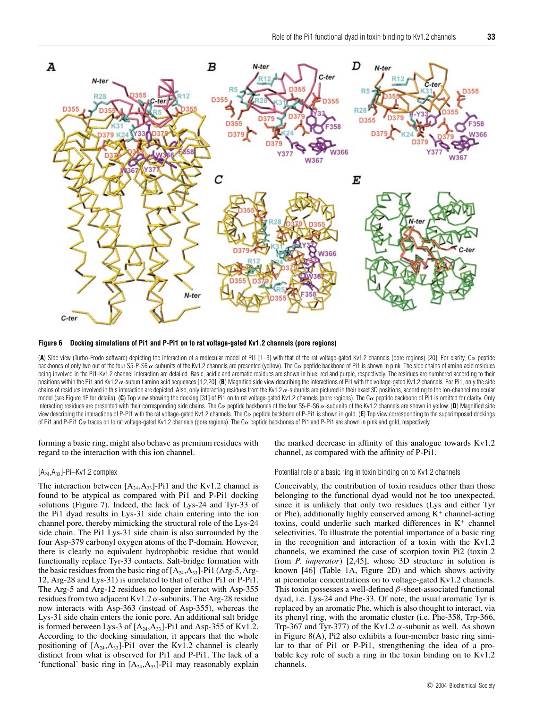

**Figure 6 Docking simulations of Pi1 and P-Pi1 on to rat voltage-gated Kv1.2 channels (pore regions)**

(**A**) Side view (Turbo-Frodo software) depicting the interaction of a molecular model of Pi1 [1–3] with that of the rat voltage-gated Kv1.2 channels (pore regions) [20]. For clarity, Cα peptide backbones of only two out of the four S5-P-S6 α-subunits of the Kv1.2 channels are presented (yellow). The Cα peptide backbone of Pi1 is shown in pink. The side chains of amino acid residues being involved in the Pi1-Kv1.2 channel interaction are detailed. Basic, acidic and aromatic residues are shown in blue, red and purple, respectively. The residues are numbered according to their positions within the Pi1 and Kv1.2  $\alpha$ -subunit amino acid sequences [1,2,20]. (B) Magnified side view describing the interactions of Pi1 with the voltage-gated Kv1.2 channels. For Pi1, only the side chains of residues involved in this interaction are depicted. Also, only interacting residues from the Kv1.2 α-subunits are pictured in their exact 3D positions, according to the ion-channel molecular model (see Figure 1E for details). (C) Top view showing the docking [31] of Pi1 on to rat voltage-gated Kv1.2 channels (pore regions). The Cα peptide backbone of Pi1 is omitted for clarity. Only interacting residues are presented with their corresponding side chains. The Cα peptide backbones of the four S5-P-S6 α-subunits of the Kv1.2 channels are shown in yellow. (**D**) Magnified side view describing the interactions of P-Pi1 with the rat voltage-gated Kv1.2 channels. The C<sub>a</sub> peptide backbone of P-Pi1 is shown in gold. (**E**) Top view corresponding to the superimposed dockings of Pi1 and P-Pi1 Cα traces on to rat voltage-gated Kv1.2 channels (pore regions). The Cα peptide backbones of Pi1 and P-Pi1 are shown in pink and gold, respectively.

forming a basic ring, might also behave as premium residues with regard to the interaction with this ion channel.

## $[A_{24},A_{33}]$ -Pi–Kv1.2 complex

The interaction between  $[A_{24},A_{33}]$ -Pi1 and the Kv1.2 channel is found to be atypical as compared with Pi1 and P-Pi1 docking solutions (Figure 7). Indeed, the lack of Lys-24 and Tyr-33 of the Pi1 dyad results in Lys-31 side chain entering into the ion channel pore, thereby mimicking the structural role of the Lys-24 side chain. The Pi1 Lys-31 side chain is also surrounded by the four Asp-379 carbonyl oxygen atoms of the P-domain. However, there is clearly no equivalent hydrophobic residue that would functionally replace Tyr-33 contacts. Salt-bridge formation with the basic residues from the basic ring of  $[A_{24},A_{33}]$ -Pi1 (Arg-5, Arg-12, Arg-28 and Lys-31) is unrelated to that of either Pi1 or P-Pi1. The Arg-5 and Arg-12 residues no longer interact with Asp-355 residues from two adjacent Kv1.2 *α*-subunits. The Arg-28 residue now interacts with Asp-363 (instead of Asp-355), whereas the Lys-31 side chain enters the ionic pore. An additional salt bridge is formed between Lys-3 of  $[A_{24},A_{33}]$ -Pi1 and Asp-355 of Kv1.2. According to the docking simulation, it appears that the whole positioning of  $[A_{24},A_{33}]$ -Pi1 over the Kv1.2 channel is clearly distinct from what is observed for Pi1 and P-Pi1. The lack of a 'functional' basic ring in  $[A_{24},A_{33}]$ -Pi1 may reasonably explain the marked decrease in affinity of this analogue towards Kv1.2 channel, as compared with the affinity of P-Pi1.

Potential role of a basic ring in toxin binding on to Kv1.2 channels

Conceivably, the contribution of toxin residues other than those belonging to the functional dyad would not be too unexpected, since it is unlikely that only two residues (Lys and either Tyr or Phe), additionally highly conserved among  $K^+$  channel-acting toxins, could underlie such marked differences in  $K^+$  channel selectivities. To illustrate the potential importance of a basic ring in the recognition and interaction of a toxin with the Kv1.2 channels, we examined the case of scorpion toxin Pi2 (toxin 2 from *P. imperator*) [2,45], whose 3D structure in solution is known [46] (Table 1A, Figure 2D) and which shows activity at picomolar concentrations on to voltage-gated Kv1.2 channels. This toxin possesses a well-defined *β*-sheet-associated functional dyad, i.e. Lys-24 and Phe-33. Of note, the usual aromatic Tyr is replaced by an aromatic Phe, which is also thought to interact, via its phenyl ring, with the aromatic cluster (i.e. Phe-358, Trp-366, Trp-367 and Tyr-377) of the Kv1.2  $\alpha$ -subunit as well. As shown in Figure 8(A), Pi2 also exhibits a four-member basic ring similar to that of Pi1 or P-Pi1, strengthening the idea of a probable key role of such a ring in the toxin binding on to Kv1.2 channels.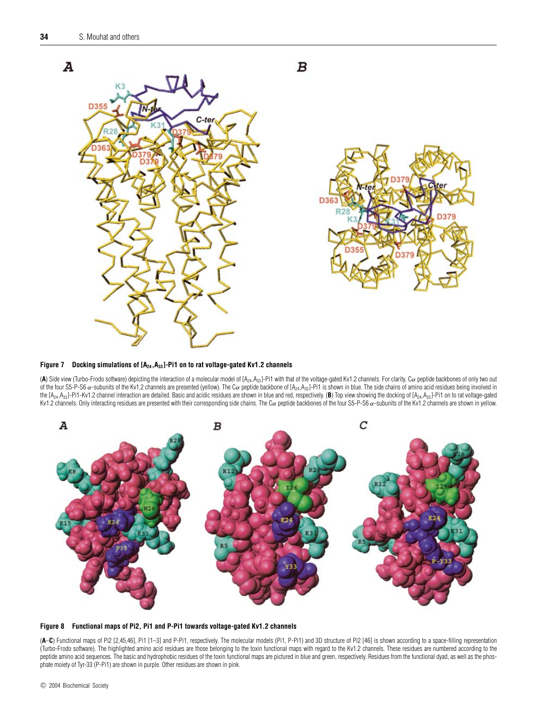

Figure 7 Docking simulations of  $[A_{24},A_{33}]$ -Pi1 on to rat voltage-gated Kv1.2 channels

(A) Side view (Turbo-Frodo software) depicting the interaction of a molecular model of [A<sub>24</sub>, A<sub>33</sub>]-Pi1 with that of the voltage-gated Kv1.2 channels. For clarity, C<sub>a</sub> peptide backbones of only two out of the four S5-P-S6  $\alpha$ -subunits of the Kv1.2 channels are presented (yellow). The C $\alpha$  peptide backbone of [A<sub>24</sub>,A<sub>33</sub>]-Pi1 is shown in blue. The side chains of amino acid residues being involved in the  $[A_{24},A_{33}]$ -Pi1-Kv1.2 channel interaction are detailed. Basic and acidic residues are shown in blue and red, respectively. (**B**) Top view showing the docking of  $[A_{24},A_{33}]$ -Pi1 on to rat voltage-gated Kv1.2 channels. Only interacting residues are presented with their corresponding side chains. The Cα peptide backbones of the four S5-P-S6 α-subunits of the Kv1.2 channels are shown in yellow.





(**A**–**C**) Functional maps of Pi2 [2,45,46], Pi1 [1–3] and P-Pi1, respectively. The molecular models (Pi1, P-Pi1) and 3D structure of Pi2 [46] is shown according to a space-filling representation (Turbo-Frodo software). The highlighted amino acid residues are those belonging to the toxin functional maps with regard to the Kv1.2 channels. These residues are numbered according to the peptide amino acid sequences. The basic and hydrophobic residues of the toxin functional maps are pictured in blue and green, respectively. Residues from the functional dyad, as well as the phosphate moiety of Tyr-33 (P-Pi1) are shown in purple. Other residues are shown in pink.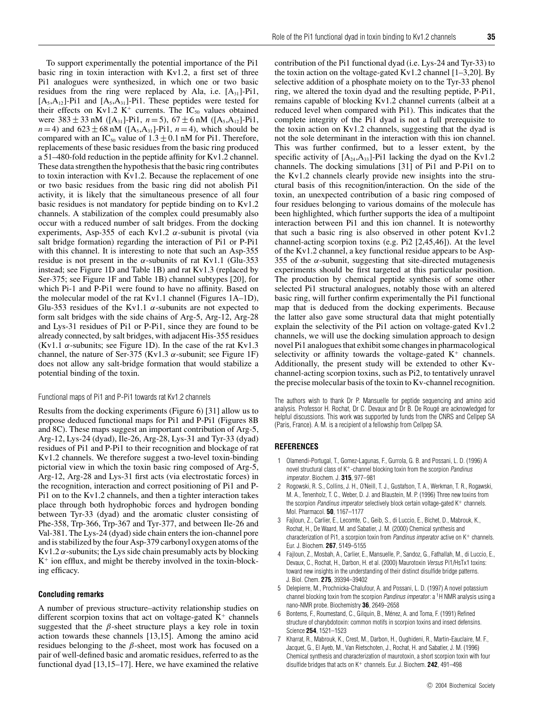To support experimentally the potential importance of the Pi1 basic ring in toxin interaction with Kv1.2, a first set of three Pi1 analogues were synthesized, in which one or two basic residues from the ring were replaced by Ala, i.e.  $[A_{31}]$ -Pi1,  $[A_5, A_{12}]$ -Pi1 and  $[A_5, A_{31}]$ -Pi1. These peptides were tested for their effects on Kv1.2 K<sup>+</sup> currents. The  $IC_{50}$  values obtained were  $383 \pm 33$  nM ([A<sub>31</sub>]-Pi1,  $n=5$ ),  $67 \pm 6$  nM ([A<sub>5</sub>,A<sub>12</sub>]-Pi1, *n* = 4) and  $623 \pm 68$  nM ([A<sub>5</sub>, A<sub>31</sub>]-Pi1, *n* = 4), which should be compared with an IC<sub>50</sub> value of  $1.3 \pm 0.1$  nM for Pi1. Therefore, replacements of these basic residues from the basic ring produced a 51–480-fold reduction in the peptide affinity for Kv1.2 channel. These data strengthen the hypothesis that the basic ring contributes to toxin interaction with Kv1.2. Because the replacement of one or two basic residues from the basic ring did not abolish Pi1 activity, it is likely that the simultaneous presence of all four basic residues is not mandatory for peptide binding on to Kv1.2 channels. A stabilization of the complex could presumably also occur with a reduced number of salt bridges. From the docking experiments, Asp-355 of each Kv1.2 *α*-subunit is pivotal (via salt bridge formation) regarding the interaction of Pi1 or P-Pi1 with this channel. It is interesting to note that such an Asp-355 residue is not present in the  $\alpha$ -subunits of rat Kv1.1 (Glu-353) instead; see Figure 1D and Table 1B) and rat Kv1.3 (replaced by Ser-375; see Figure 1F and Table 1B) channel subtypes [20], for which Pi-1 and P-Pi1 were found to have no affinity. Based on the molecular model of the rat Kv1.1 channel (Figures 1A–1D), Glu-353 residues of the Kv1.1  $\alpha$ -subunits are not expected to form salt bridges with the side chains of Arg-5, Arg-12, Arg-28 and Lys-31 residues of Pi1 or P-Pi1, since they are found to be already connected, by salt bridges, with adjacent His-355 residues (Kv1.1 *α*-subunits; see Figure 1D). In the case of the rat Kv1.3 channel, the nature of Ser-375 (Kv1.3  $\alpha$ -subunit; see Figure 1F) does not allow any salt-bridge formation that would stabilize a potential binding of the toxin.

#### Functional maps of Pi1 and P-Pi1 towards rat Kv1.2 channels

Results from the docking experiments (Figure 6) [31] allow us to propose deduced functional maps for Pi1 and P-Pi1 (Figures 8B and 8C). These maps suggest an important contribution of Arg-5, Arg-12, Lys-24 (dyad), Ile-26, Arg-28, Lys-31 and Tyr-33 (dyad) residues of Pi1 and P-Pi1 to their recognition and blockage of rat Kv1.2 channels. We therefore suggest a two-level toxin-binding pictorial view in which the toxin basic ring composed of Arg-5, Arg-12, Arg-28 and Lys-31 first acts (via electrostatic forces) in the recognition, interaction and correct positioning of Pi1 and P-Pi1 on to the Kv1.2 channels, and then a tighter interaction takes place through both hydrophobic forces and hydrogen bonding between Tyr-33 (dyad) and the aromatic cluster consisting of Phe-358, Trp-366, Trp-367 and Tyr-377, and between Ile-26 and Val-381. The Lys-24 (dyad) side chain enters the ion-channel pore and is stabilized by the four Asp-379 carbonyl oxygen atoms of the  $Kv1.2 \alpha$ -subunits; the Lys side chain presumably acts by blocking  $K^+$  ion efflux, and might be thereby involved in the toxin-blocking efficacy.

#### **Concluding remarks**

A number of previous structure–activity relationship studies on different scorpion toxins that act on voltage-gated  $K^+$  channels suggested that the  $\beta$ -sheet structure plays a key role in toxin action towards these channels [13,15]. Among the amino acid residues belonging to the *β*-sheet, most work has focused on a pair of well-defined basic and aromatic residues, referred to as the functional dyad [13,15–17]. Here, we have examined the relative contribution of the Pi1 functional dyad (i.e. Lys-24 and Tyr-33) to the toxin action on the voltage-gated Kv1.2 channel  $[1-3,20]$ . By selective addition of a phosphate moiety on to the Tyr-33 phenol ring, we altered the toxin dyad and the resulting peptide, P-Pi1, remains capable of blocking Kv1.2 channel currents (albeit at a reduced level when compared with Pi1). This indicates that the complete integrity of the Pi1 dyad is not a full prerequisite to the toxin action on Kv1.2 channels, suggesting that the dyad is not the sole determinant in the interaction with this ion channel. This was further confirmed, but to a lesser extent, by the specific activity of  $[A_{24},A_{33}]$ -Pi1 lacking the dyad on the Kv1.2 channels. The docking simulations [31] of Pi1 and P-Pi1 on to the Kv1.2 channels clearly provide new insights into the structural basis of this recognition/interaction. On the side of the toxin, an unexpected contribution of a basic ring composed of four residues belonging to various domains of the molecule has been highlighted, which further supports the idea of a multipoint interaction between Pi1 and this ion channel. It is noteworthy that such a basic ring is also observed in other potent Kv1.2 channel-acting scorpion toxins (e.g. Pi2 [2,45,46]). At the level of the Kv1.2 channel, a key functional residue appears to be Asp-355 of the  $\alpha$ -subunit, suggesting that site-directed mutagenesis experiments should be first targeted at this particular position. The production by chemical peptide synthesis of some other selected Pi1 structural analogues, notably those with an altered basic ring, will further confirm experimentally the Pi1 functional map that is deduced from the docking experiments. Because the latter also gave some structural data that might potentially explain the selectivity of the Pi1 action on voltage-gated Kv1.2 channels, we will use the docking simulation approach to design novel Pi1 analogues that exhibit some changes in pharmacological

selectivity or affinity towards the voltage-gated  $K^+$  channels. Additionally, the present study will be extended to other Kvchannel-acting scorpion toxins, such as Pi2, to tentatively unravel the precise molecular basis of the toxin to Kv-channel recognition.

The authors wish to thank Dr P. Mansuelle for peptide sequencing and amino acid analysis. Professor H. Rochat, Dr C. Devaux and Dr B. De Rouge are acknowledged for ´ helpful discussions. This work was supported by funds from the CNRS and Cellpep SA (Paris, France). A. M. is a recipient of a fellowship from Cellpep SA.

## **REFERENCES**

- 1 Olamendi-Portugal, T., Gomez-Lagunas, F., Gurrola, G. B. and Possani, L. D. (1996) A novel structural class of K+-channel blocking toxin from the scorpion Pandinus imperator. Biochem. J. **315**, 977–981
- 2 Rogowski, R. S., Collins, J. H., O'Neill, T. J., Gustafson, T. A., Werkman, T. R., Rogawski, M. A., Tenenholz, T. C., Weber, D. J. and Blaustein, M. P. (1996) Three new toxins from the scorpion Pandinus imperator selectively block certain voltage-gated K+ channels. Mol. Pharmacol. **50**, 1167–1177
- 3 Fajloun, Z., Carlier, E., Lecomte, C., Geib, S., di Luccio, E., Bichet, D., Mabrouk, K., Rochat, H., De Waard, M. and Sabatier, J. M. (2000) Chemical synthesis and characterization of Pi1, a scorpion toxin from Pandinus imperator active on  $K^+$  channels. Eur. J. Biochem. **267**, 5149–5155
- 4 Fajloun, Z., Mosbah, A., Carlier, E., Mansuelle, P., Sandoz, G., Fathallah, M., di Luccio, E., Devaux, C., Rochat, H., Darbon, H. et al. (2000) Maurotoxin Versus Pi1/HsTx1 toxins: toward new insights in the understanding of their distinct disulfide bridge patterns. J. Biol. Chem. **275**, 39394–39402
- 5 Delepierre, M., Prochnicka-Chalufour, A. and Possani, L. D. (1997) A novel potassium channel blocking toxin from the scorpion Pandinus imperator: a <sup>1</sup>H NMR analysis using a nano-NMR probe. Biochemistry **36**, 2649–2658
- 6 Bontems, F., Roumestand, C., Gilquin, B., Ménez, A. and Toma, F. (1991) Refined structure of charybdotoxin: common motifs in scorpion toxins and insect defensins. Science **254**, 1521–1523
- 7 Kharrat, R., Mabrouk, K., Crest, M., Darbon, H., Oughideni, R., Martin-Eauclaire, M. F., Jacquet, G., El Ayeb, M., Van Rietschoten, J., Rochat, H. and Sabatier, J. M. (1996) Chemical synthesis and characterization of maurotoxin, a short scorpion toxin with four disulfide bridges that acts on K<sup>+</sup> channels. Eur. J. Biochem. **242**, 491–498